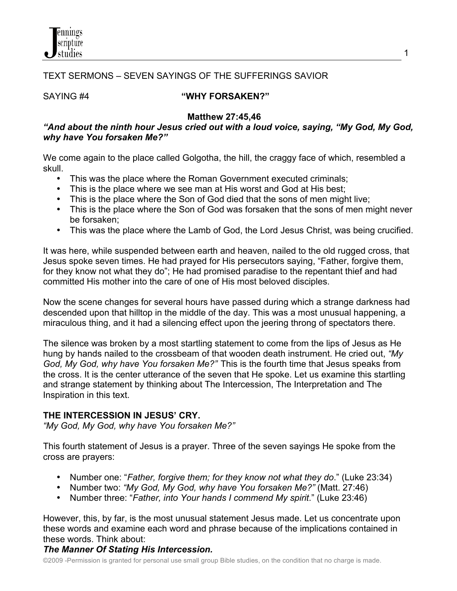

## TEXT SERMONS – SEVEN SAYINGS OF THE SUFFERINGS SAVIOR

#### SAYING #4 **"WHY FORSAKEN?"**

 **Matthew 27:45,46**

## *"And about the ninth hour Jesus cried out with a loud voice, saying, "My God, My God, why have You forsaken Me?"*

We come again to the place called Golgotha, the hill, the craggy face of which, resembled a skull.

- This was the place where the Roman Government executed criminals;
- This is the place where we see man at His worst and God at His best;
- This is the place where the Son of God died that the sons of men might live;
- This is the place where the Son of God was forsaken that the sons of men might never be forsaken;
- This was the place where the Lamb of God, the Lord Jesus Christ, was being crucified.

It was here, while suspended between earth and heaven, nailed to the old rugged cross, that Jesus spoke seven times. He had prayed for His persecutors saying, "Father, forgive them, for they know not what they do"; He had promised paradise to the repentant thief and had committed His mother into the care of one of His most beloved disciples.

Now the scene changes for several hours have passed during which a strange darkness had descended upon that hilltop in the middle of the day. This was a most unusual happening, a miraculous thing, and it had a silencing effect upon the jeering throng of spectators there.

The silence was broken by a most startling statement to come from the lips of Jesus as He hung by hands nailed to the crossbeam of that wooden death instrument. He cried out, *"My God, My God, why have You forsaken Me?"* This is the fourth time that Jesus speaks from the cross. It is the center utterance of the seven that He spoke. Let us examine this startling and strange statement by thinking about The Intercession, The Interpretation and The Inspiration in this text.

## **THE INTERCESSION IN JESUS' CRY.**

*"My God, My God, why have You forsaken Me?"*

This fourth statement of Jesus is a prayer. Three of the seven sayings He spoke from the cross are prayers:

- Number one: "*Father, forgive them; for they know not what they do*." (Luke 23:34)
- Number two: *"My God, My God, why have You forsaken Me?"* (Matt. 27:46)
- Number three: "*Father, into Your hands I commend My spirit*." (Luke 23:46)

However, this, by far, is the most unusual statement Jesus made. Let us concentrate upon these words and examine each word and phrase because of the implications contained in these words. Think about:

## *The Manner Of Stating His Intercession.*

©2009 -Permission is granted for personal use small group Bible studies, on the condition that no charge is made.

1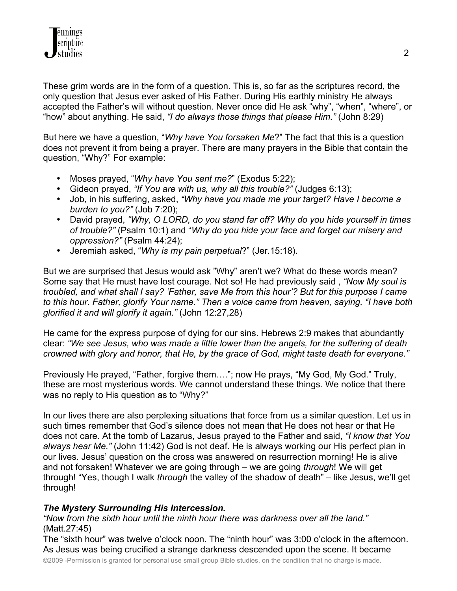These grim words are in the form of a question. This is, so far as the scriptures record, the only question that Jesus ever asked of His Father. During His earthly ministry He always accepted the Father's will without question. Never once did He ask "why", "when", "where", or "how" about anything. He said, *"I do always those things that please Him."* (John 8:29)

But here we have a question, "*Why have You forsaken Me*?" The fact that this is a question does not prevent it from being a prayer. There are many prayers in the Bible that contain the question, "Why?" For example:

- Moses prayed, "*Why have You sent me?*" (Exodus 5:22);
- Gideon prayed, *"If You are with us, why all this trouble?"* (Judges 6:13);
- Job, in his suffering, asked, *"Why have you made me your target? Have I become a burden to you?"* (Job 7:20);
- David prayed, *"Why, O LORD, do you stand far off? Why do you hide yourself in times of trouble?"* (Psalm 10:1) and "*Why do you hide your face and forget our misery and oppression?"* (Psalm 44:24);
- Jeremiah asked, "*Why is my pain perpetual*?" (Jer.15:18).

But we are surprised that Jesus would ask "Why" aren't we? What do these words mean? Some say that He must have lost courage. Not so! He had previously said , *"Now My soul is troubled, and what shall I say? 'Father, save Me from this hour'? But for this purpose I came to this hour. Father, glorify Your name." Then a voice came from heaven, saying, "I have both glorified it and will glorify it again."* (John 12:27,28)

He came for the express purpose of dying for our sins. Hebrews 2:9 makes that abundantly clear: *"We see Jesus, who was made a little lower than the angels, for the suffering of death crowned with glory and honor, that He, by the grace of God, might taste death for everyone."*

Previously He prayed, "Father, forgive them…."; now He prays, "My God, My God." Truly, these are most mysterious words. We cannot understand these things. We notice that there was no reply to His question as to "Why?"

In our lives there are also perplexing situations that force from us a similar question. Let us in such times remember that God's silence does not mean that He does not hear or that He does not care. At the tomb of Lazarus, Jesus prayed to the Father and said, *"I know that You always hear Me."* (John 11:42) God is not deaf. He is always working our His perfect plan in our lives. Jesus' question on the cross was answered on resurrection morning! He is alive and not forsaken! Whatever we are going through – we are going *through*! We will get through! "Yes, though I walk *through* the valley of the shadow of death" – like Jesus, we'll get through!

## *The Mystery Surrounding His Intercession.*

*"Now from the sixth hour until the ninth hour there was darkness over all the land."*  (Matt.27:45)

The "sixth hour" was twelve o'clock noon. The "ninth hour" was 3:00 o'clock in the afternoon. As Jesus was being crucified a strange darkness descended upon the scene. It became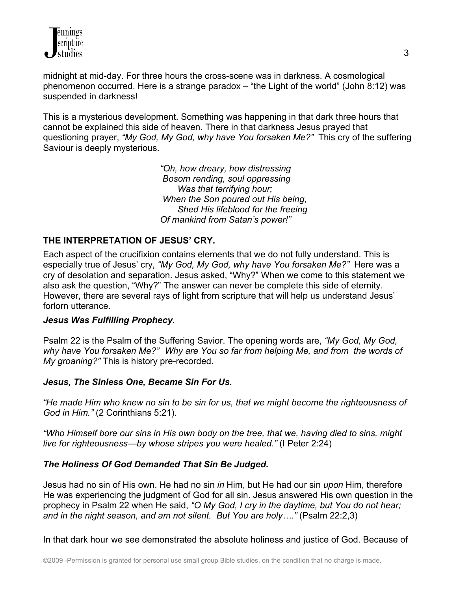midnight at mid-day. For three hours the cross-scene was in darkness. A cosmological phenomenon occurred. Here is a strange paradox – "the Light of the world" (John 8:12) was suspended in darkness!

This is a mysterious development. Something was happening in that dark three hours that cannot be explained this side of heaven. There in that darkness Jesus prayed that questioning prayer, *"My God, My God, why have You forsaken Me?"* This cry of the suffering Saviour is deeply mysterious.

> *"Oh, how dreary, how distressing Bosom rending, soul oppressing Was that terrifying hour; When the Son poured out His being, Shed His lifeblood for the freeing Of mankind from Satan's power!"*

## **THE INTERPRETATION OF JESUS' CRY.**

Each aspect of the crucifixion contains elements that we do not fully understand. This is especially true of Jesus' cry, *"My God, My God, why have You forsaken Me?"* Here was a cry of desolation and separation. Jesus asked, "Why?" When we come to this statement we also ask the question, "Why?" The answer can never be complete this side of eternity. However, there are several rays of light from scripture that will help us understand Jesus' forlorn utterance.

#### *Jesus Was Fulfilling Prophecy.*

Psalm 22 is the Psalm of the Suffering Savior. The opening words are, *"My God, My God, why have You forsaken Me?" Why are You so far from helping Me, and from the words of My groaning?"* This is history pre-recorded.

#### *Jesus, The Sinless One, Became Sin For Us.*

*"He made Him who knew no sin to be sin for us, that we might become the righteousness of God in Him."* (2 Corinthians 5:21).

*"Who Himself bore our sins in His own body on the tree, that we, having died to sins, might live for righteousness—by whose stripes you were healed."* (I Peter 2:24)

#### *The Holiness Of God Demanded That Sin Be Judged.*

Jesus had no sin of His own. He had no sin *in* Him, but He had our sin *upon* Him, therefore He was experiencing the judgment of God for all sin. Jesus answered His own question in the prophecy in Psalm 22 when He said, *"O My God, I cry in the daytime, but You do not hear; and in the night season, and am not silent. But You are holy…."* (Psalm 22:2,3)

In that dark hour we see demonstrated the absolute holiness and justice of God. Because of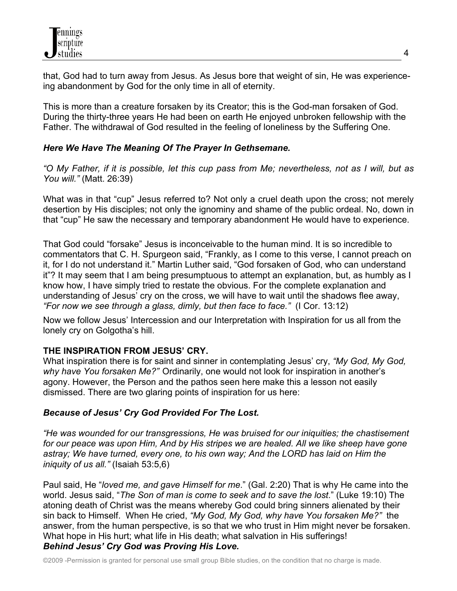that, God had to turn away from Jesus. As Jesus bore that weight of sin, He was experienceing abandonment by God for the only time in all of eternity.

This is more than a creature forsaken by its Creator; this is the God-man forsaken of God. During the thirty-three years He had been on earth He enjoyed unbroken fellowship with the Father. The withdrawal of God resulted in the feeling of loneliness by the Suffering One.

# *Here We Have The Meaning Of The Prayer In Gethsemane.*

*"O My Father, if it is possible, let this cup pass from Me; nevertheless, not as I will, but as You will."* (Matt. 26:39)

What was in that "cup" Jesus referred to? Not only a cruel death upon the cross; not merely desertion by His disciples; not only the ignominy and shame of the public ordeal. No, down in that "cup" He saw the necessary and temporary abandonment He would have to experience.

That God could "forsake" Jesus is inconceivable to the human mind. It is so incredible to commentators that C. H. Spurgeon said, "Frankly, as I come to this verse, I cannot preach on it, for I do not understand it." Martin Luther said, "God forsaken of God, who can understand it"? It may seem that I am being presumptuous to attempt an explanation, but, as humbly as I know how, I have simply tried to restate the obvious. For the complete explanation and understanding of Jesus' cry on the cross, we will have to wait until the shadows flee away, *"For now we see through a glass, dimly, but then face to face."* (I Cor. 13:12)

Now we follow Jesus' Intercession and our Interpretation with Inspiration for us all from the lonely cry on Golgotha's hill.

# **THE INSPIRATION FROM JESUS' CRY.**

What inspiration there is for saint and sinner in contemplating Jesus' cry, *"My God, My God, why have You forsaken Me?"* Ordinarily, one would not look for inspiration in another's agony. However, the Person and the pathos seen here make this a lesson not easily dismissed. There are two glaring points of inspiration for us here:

## *Because of Jesus' Cry God Provided For The Lost.*

*"He was wounded for our transgressions, He was bruised for our iniquities; the chastisement for our peace was upon Him, And by His stripes we are healed. All we like sheep have gone astray; We have turned, every one, to his own way; And the LORD has laid on Him the iniquity of us all."* (Isaiah 53:5,6)

Paul said, He "*loved me, and gave Himself for me*." (Gal. 2:20) That is why He came into the world. Jesus said, "*The Son of man is come to seek and to save the lost*." (Luke 19:10) The atoning death of Christ was the means whereby God could bring sinners alienated by their sin back to Himself. When He cried, *"My God, My God, why have You forsaken Me?"* the answer, from the human perspective, is so that we who trust in Him might never be forsaken. What hope in His hurt; what life in His death; what salvation in His sufferings! *Behind Jesus' Cry God was Proving His Love.*